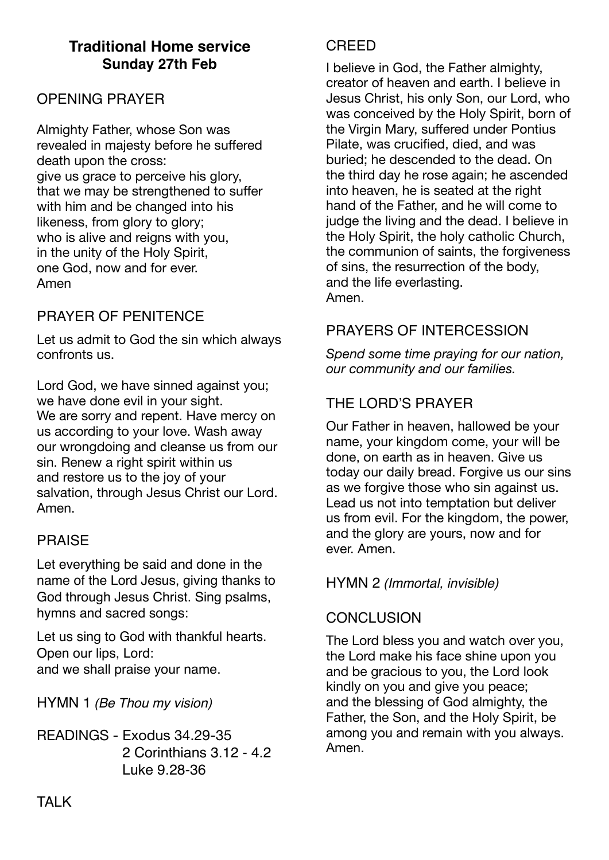# **Traditional Home service Sunday 27th Feb**

## OPENING PRAYER

Almighty Father, whose Son was revealed in majesty before he suffered death upon the cross: give us grace to perceive his glory, that we may be strengthened to suffer with him and be changed into his likeness, from glory to glory; who is alive and reigns with you, in the unity of the Holy Spirit, one God, now and for ever. Amen

## PRAYER OF PENITENCE

Let us admit to God the sin which always confronts us.

Lord God, we have sinned against you; we have done evil in your sight. We are sorry and repent. Have mercy on us according to your love. Wash away our wrongdoing and cleanse us from our sin. Renew a right spirit within us and restore us to the joy of your salvation, through Jesus Christ our Lord. Amen.

### PRAISE

Let everything be said and done in the name of the Lord Jesus, giving thanks to God through Jesus Christ. Sing psalms, hymns and sacred songs:

Let us sing to God with thankful hearts. Open our lips, Lord: and we shall praise your name.

HYMN 1 *(Be Thou my vision)*

READINGS - Exodus 34.29-35 2 Corinthians 3.12 - 4.2 Luke 9.28-36

#### **CREED**

I believe in God, the Father almighty, creator of heaven and earth. I believe in Jesus Christ, his only Son, our Lord, who was conceived by the Holy Spirit, born of the Virgin Mary, suffered under Pontius Pilate, was crucified, died, and was buried; he descended to the dead. On the third day he rose again; he ascended into heaven, he is seated at the right hand of the Father, and he will come to judge the living and the dead. I believe in the Holy Spirit, the holy catholic Church, the communion of saints, the forgiveness of sins, the resurrection of the body, and the life everlasting. Amen.

## PRAYERS OF INTERCESSION

*Spend some time praying for our nation, our community and our families.* 

# THE LORD'S PRAYER

Our Father in heaven, hallowed be your name, your kingdom come, your will be done, on earth as in heaven. Give us today our daily bread. Forgive us our sins as we forgive those who sin against us. Lead us not into temptation but deliver us from evil. For the kingdom, the power, and the glory are yours, now and for ever. Amen.

#### HYMN 2 *(Immortal, invisible)*

#### **CONCLUSION**

The Lord bless you and watch over you, the Lord make his face shine upon you and be gracious to you, the Lord look kindly on you and give you peace; and the blessing of God almighty, the Father, the Son, and the Holy Spirit, be among you and remain with you always. Amen.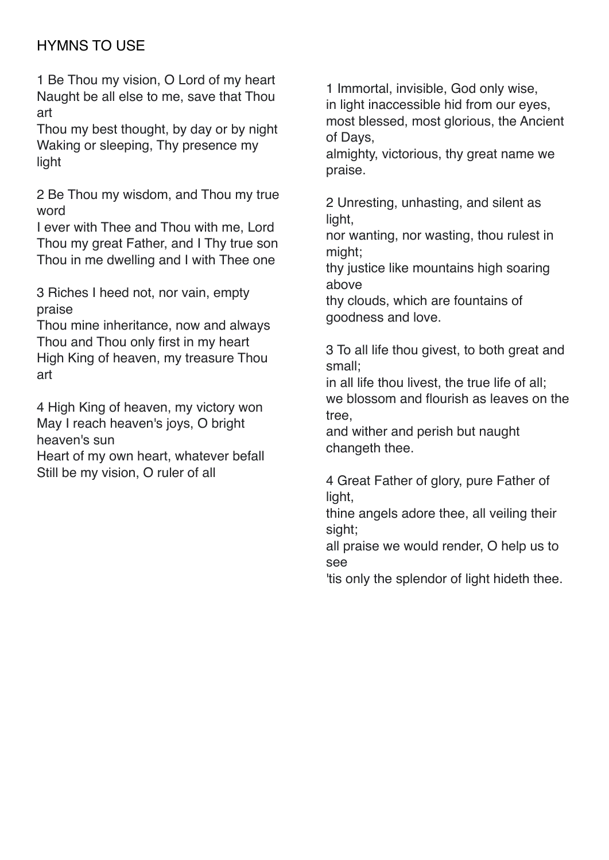# HYMNS TO USE

1 Be Thou my vision, O Lord of my heart Naught be all else to me, save that Thou art

Thou my best thought, by day or by night Waking or sleeping, Thy presence my light

2 Be Thou my wisdom, and Thou my true word

I ever with Thee and Thou with me, Lord Thou my great Father, and I Thy true son Thou in me dwelling and I with Thee one

3 Riches I heed not, nor vain, empty praise

Thou mine inheritance, now and always Thou and Thou only first in my heart High King of heaven, my treasure Thou art

4 High King of heaven, my victory won May I reach heaven's joys, O bright heaven's sun

Heart of my own heart, whatever befall Still be my vision, O ruler of all

1 Immortal, invisible, God only wise, in light inaccessible hid from our eyes, most blessed, most glorious, the Ancient of Days,

almighty, victorious, thy great name we praise.

2 Unresting, unhasting, and silent as light.

nor wanting, nor wasting, thou rulest in might;

thy justice like mountains high soaring above

thy clouds, which are fountains of goodness and love.

3 To all life thou givest, to both great and small;

in all life thou livest, the true life of all; we blossom and flourish as leaves on the tree,

and wither and perish but naught changeth thee.

4 Great Father of glory, pure Father of light,

thine angels adore thee, all veiling their sight;

all praise we would render, O help us to see

'tis only the splendor of light hideth thee.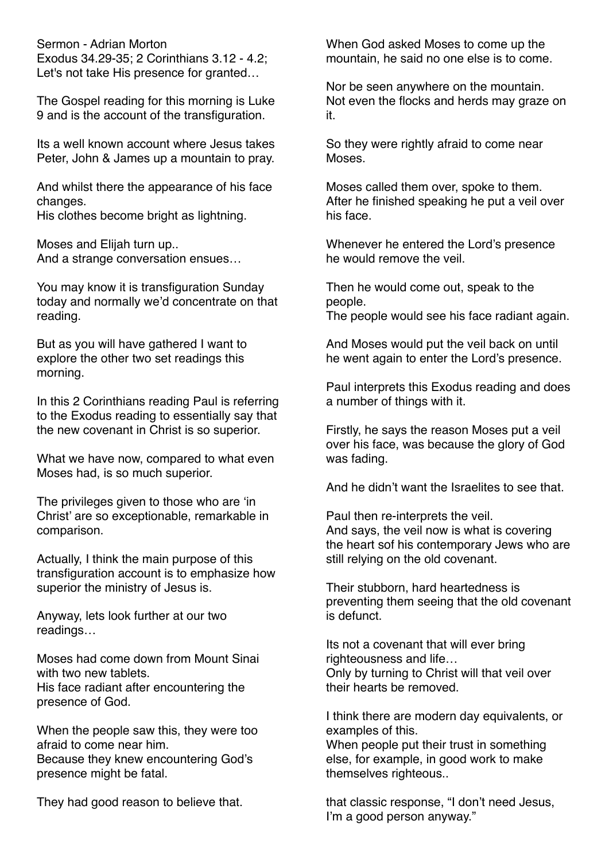Sermon - Adrian Morton Exodus 34.29-35; 2 Corinthians 3.12 - 4.2; Let's not take His presence for granted…

The Gospel reading for this morning is Luke 9 and is the account of the transfiguration.

Its a well known account where Jesus takes Peter, John & James up a mountain to pray.

And whilst there the appearance of his face changes.

His clothes become bright as lightning.

Moses and Elijah turn up.. And a strange conversation ensues…

You may know it is transfiguration Sunday today and normally we'd concentrate on that reading.

But as you will have gathered I want to explore the other two set readings this morning.

In this 2 Corinthians reading Paul is referring to the Exodus reading to essentially say that the new covenant in Christ is so superior.

What we have now, compared to what even Moses had, is so much superior.

The privileges given to those who are 'in Christ' are so exceptionable, remarkable in comparison.

Actually, I think the main purpose of this transfiguration account is to emphasize how superior the ministry of Jesus is.

Anyway, lets look further at our two readings…

Moses had come down from Mount Sinai with two new tablets. His face radiant after encountering the presence of God.

When the people saw this, they were too afraid to come near him. Because they knew encountering God's presence might be fatal.

They had good reason to believe that.

When God asked Moses to come up the mountain, he said no one else is to come.

Nor be seen anywhere on the mountain. Not even the flocks and herds may graze on it.

So they were rightly afraid to come near Moses.

Moses called them over, spoke to them. After he finished speaking he put a veil over his face.

Whenever he entered the Lord's presence he would remove the veil.

Then he would come out, speak to the people. The people would see his face radiant again.

And Moses would put the veil back on until he went again to enter the Lord's presence.

Paul interprets this Exodus reading and does a number of things with it.

Firstly, he says the reason Moses put a veil over his face, was because the glory of God was fading.

And he didn't want the Israelites to see that.

Paul then re-interprets the veil. And says, the veil now is what is covering the heart sof his contemporary Jews who are still relying on the old covenant.

Their stubborn, hard heartedness is preventing them seeing that the old covenant is defunct.

Its not a covenant that will ever bring righteousness and life… Only by turning to Christ will that veil over their hearts be removed.

I think there are modern day equivalents, or examples of this.

When people put their trust in something else, for example, in good work to make themselves righteous..

that classic response, "I don't need Jesus, I'm a good person anyway."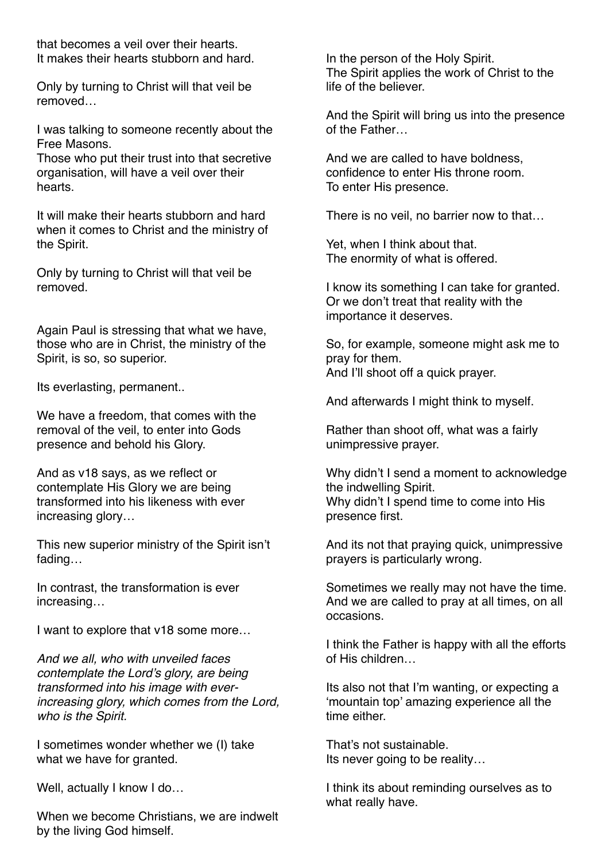that becomes a veil over their hearts. It makes their hearts stubborn and hard.

Only by turning to Christ will that veil be removed…

I was talking to someone recently about the Free Masons.

Those who put their trust into that secretive organisation, will have a veil over their hearts.

It will make their hearts stubborn and hard when it comes to Christ and the ministry of the Spirit.

Only by turning to Christ will that veil be removed.

Again Paul is stressing that what we have, those who are in Christ, the ministry of the Spirit, is so, so superior.

Its everlasting, permanent..

We have a freedom, that comes with the removal of the veil, to enter into Gods presence and behold his Glory.

And as v18 says, as we reflect or contemplate His Glory we are being transformed into his likeness with ever increasing glory…

This new superior ministry of the Spirit isn't fading…

In contrast, the transformation is ever increasing…

I want to explore that v18 some more…

*And we all, who with unveiled faces contemplate the Lord's glory, are being transformed into his image with everincreasing glory, which comes from the Lord, who is the Spirit.*

I sometimes wonder whether we (I) take what we have for granted.

Well, actually I know I do...

When we become Christians, we are indwelt by the living God himself.

In the person of the Holy Spirit. The Spirit applies the work of Christ to the life of the believer.

And the Spirit will bring us into the presence of the Father…

And we are called to have boldness, confidence to enter His throne room. To enter His presence.

There is no veil, no barrier now to that…

Yet, when I think about that. The enormity of what is offered.

I know its something I can take for granted. Or we don't treat that reality with the importance it deserves.

So, for example, someone might ask me to pray for them. And I'll shoot off a quick prayer.

And afterwards I might think to myself.

Rather than shoot off, what was a fairly unimpressive prayer.

Why didn't I send a moment to acknowledge the indwelling Spirit. Why didn't I spend time to come into His presence first.

And its not that praying quick, unimpressive prayers is particularly wrong.

Sometimes we really may not have the time. And we are called to pray at all times, on all occasions.

I think the Father is happy with all the efforts of His children…

Its also not that I'm wanting, or expecting a 'mountain top' amazing experience all the time either.

That's not sustainable. Its never going to be reality…

I think its about reminding ourselves as to what really have.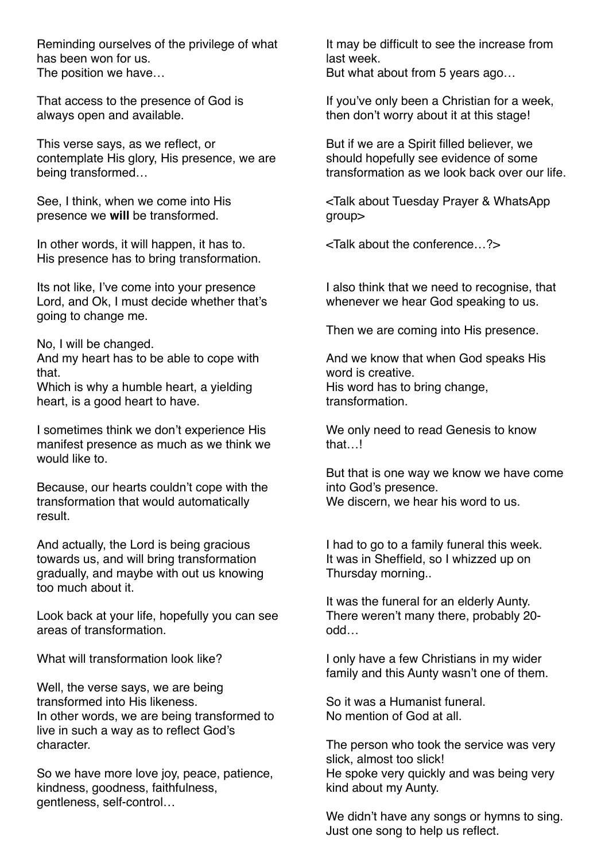Reminding ourselves of the privilege of what has been won for us. The position we have…

That access to the presence of God is always open and available.

This verse says, as we reflect, or contemplate His glory, His presence, we are being transformed…

See, I think, when we come into His presence we **will** be transformed.

In other words, it will happen, it has to. His presence has to bring transformation.

Its not like, I've come into your presence Lord, and Ok, I must decide whether that's going to change me.

No, I will be changed.

And my heart has to be able to cope with that.

Which is why a humble heart, a yielding heart, is a good heart to have.

I sometimes think we don't experience His manifest presence as much as we think we would like to.

Because, our hearts couldn't cope with the transformation that would automatically result.

And actually, the Lord is being gracious towards us, and will bring transformation gradually, and maybe with out us knowing too much about it.

Look back at your life, hopefully you can see areas of transformation.

What will transformation look like?

Well, the verse says, we are being transformed into His likeness. In other words, we are being transformed to live in such a way as to reflect God's character.

So we have more love joy, peace, patience, kindness, goodness, faithfulness, gentleness, self-control…

It may be difficult to see the increase from last week. But what about from 5 years ago…

If you've only been a Christian for a week, then don't worry about it at this stage!

But if we are a Spirit filled believer, we should hopefully see evidence of some transformation as we look back over our life.

<Talk about Tuesday Prayer & WhatsApp group>

<Talk about the conference…?>

I also think that we need to recognise, that whenever we hear God speaking to us.

Then we are coming into His presence.

And we know that when God speaks His word is creative. His word has to bring change, transformation.

We only need to read Genesis to know that I

But that is one way we know we have come into God's presence. We discern, we hear his word to us.

I had to go to a family funeral this week. It was in Sheffield, so I whizzed up on Thursday morning..

It was the funeral for an elderly Aunty. There weren't many there, probably 20 odd…

I only have a few Christians in my wider family and this Aunty wasn't one of them.

So it was a Humanist funeral. No mention of God at all.

The person who took the service was very slick, almost too slick! He spoke very quickly and was being very kind about my Aunty.

We didn't have any songs or hymns to sing. Just one song to help us reflect.